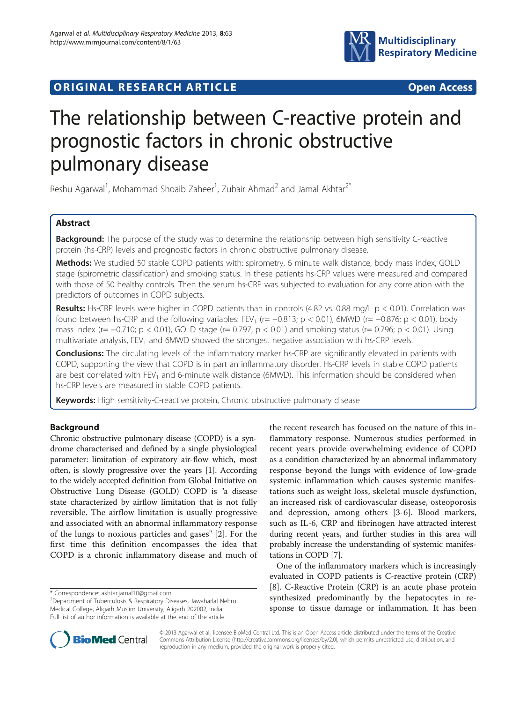

## **ORIGINAL RESEARCH ARTICLE CONSUMING ACCESS**

# The relationship between C-reactive protein and prognostic factors in chronic obstructive pulmonary disease

Reshu Agarwal<sup>1</sup>, Mohammad Shoaib Zaheer<sup>1</sup>, Zubair Ahmad<sup>2</sup> and Jamal Akhtar<sup>2\*</sup>

## Abstract

Background: The purpose of the study was to determine the relationship between high sensitivity C-reactive protein (hs-CRP) levels and prognostic factors in chronic obstructive pulmonary disease.

Methods: We studied 50 stable COPD patients with: spirometry, 6 minute walk distance, body mass index, GOLD stage (spirometric classification) and smoking status. In these patients hs-CRP values were measured and compared with those of 50 healthy controls. Then the serum hs-CRP was subjected to evaluation for any correlation with the predictors of outcomes in COPD subjects.

Results: Hs-CRP levels were higher in COPD patients than in controls (4.82 vs. 0.88 mg/L  $p < 0.01$ ). Correlation was found between hs-CRP and the following variables: FEV<sub>1</sub> (r= -0.813; p < 0.01), 6MWD (r= -0.876; p < 0.01), body mass index (r= −0.710; p < 0.01), GOLD stage (r= 0.797, p < 0.01) and smoking status (r= 0.796; p < 0.01). Using multivariate analysis, FEV<sub>1</sub> and 6MWD showed the strongest negative association with hs-CRP levels.

**Conclusions:** The circulating levels of the inflammatory marker hs-CRP are significantly elevated in patients with COPD, supporting the view that COPD is in part an inflammatory disorder. Hs-CRP levels in stable COPD patients are best correlated with FEV<sub>1</sub> and 6-minute walk distance (6MWD). This information should be considered when hs-CRP levels are measured in stable COPD patients.

Keywords: High sensitivity-C-reactive protein, Chronic obstructive pulmonary disease

## Background

Chronic obstructive pulmonary disease (COPD) is a syndrome characterised and defined by a single physiological parameter: limitation of expiratory air-flow which, most often, is slowly progressive over the years [\[1](#page-4-0)]. According to the widely accepted definition from Global Initiative on Obstructive Lung Disease (GOLD) COPD is "a disease state characterized by airflow limitation that is not fully reversible. The airflow limitation is usually progressive and associated with an abnormal inflammatory response of the lungs to noxious particles and gases" [\[2](#page-4-0)]. For the first time this definition encompasses the idea that COPD is a chronic inflammatory disease and much of the recent research has focused on the nature of this inflammatory response. Numerous studies performed in recent years provide overwhelming evidence of COPD as a condition characterized by an abnormal inflammatory response beyond the lungs with evidence of low-grade systemic inflammation which causes systemic manifestations such as weight loss, skeletal muscle dysfunction, an increased risk of cardiovascular disease, osteoporosis and depression, among others [\[3-6](#page-4-0)]. Blood markers, such as IL-6, CRP and fibrinogen have attracted interest during recent years, and further studies in this area will probably increase the understanding of systemic manifestations in COPD [\[7](#page-4-0)].

One of the inflammatory markers which is increasingly evaluated in COPD patients is C-reactive protein (CRP) [[8\]](#page-4-0). C-Reactive Protein (CRP) is an acute phase protein synthesized predominantly by the hepatocytes in response to tissue damage or inflammation. It has been



© 2013 Agarwal et al.; licensee BioMed Central Ltd. This is an Open Access article distributed under the terms of the Creative Commons Attribution License [\(http://creativecommons.org/licenses/by/2.0\)](http://creativecommons.org/licenses/by/2.0), which permits unrestricted use, distribution, and reproduction in any medium, provided the original work is properly cited.

<sup>\*</sup> Correspondence: [akhtar.jamal10@gmail.com](mailto:akhtar.jamal10@gmail.com) <sup>2</sup>

<sup>&</sup>lt;sup>2</sup>Department of Tuberculosis & Respiratory Diseases, Jawaharlal Nehru Medical College, Aligarh Muslim University, Aligarh 202002, India Full list of author information is available at the end of the article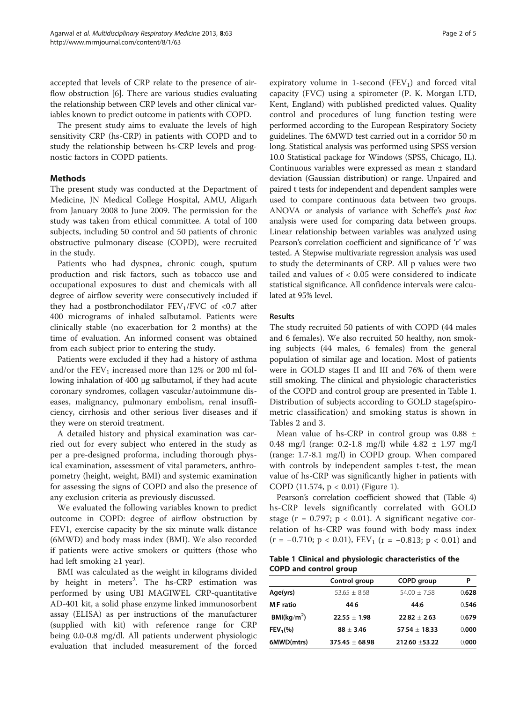accepted that levels of CRP relate to the presence of airflow obstruction [[6\]](#page-4-0). There are various studies evaluating the relationship between CRP levels and other clinical variables known to predict outcome in patients with COPD.

The present study aims to evaluate the levels of high sensitivity CRP (hs-CRP) in patients with COPD and to study the relationship between hs-CRP levels and prognostic factors in COPD patients.

## **Methods**

The present study was conducted at the Department of Medicine, JN Medical College Hospital, AMU, Aligarh from January 2008 to June 2009. The permission for the study was taken from ethical committee. A total of 100 subjects, including 50 control and 50 patients of chronic obstructive pulmonary disease (COPD), were recruited in the study.

Patients who had dyspnea, chronic cough, sputum production and risk factors, such as tobacco use and occupational exposures to dust and chemicals with all degree of airflow severity were consecutively included if they had a postbronchodilator  $FEV_1/FVC$  of <0.7 after 400 micrograms of inhaled salbutamol. Patients were clinically stable (no exacerbation for 2 months) at the time of evaluation. An informed consent was obtained from each subject prior to entering the study.

Patients were excluded if they had a history of asthma and/or the  $FEV<sub>1</sub>$  increased more than 12% or 200 ml following inhalation of 400 μg salbutamol, if they had acute coronary syndromes, collagen vascular/autoimmune diseases, malignancy, pulmonary embolism, renal insufficiency, cirrhosis and other serious liver diseases and if they were on steroid treatment.

A detailed history and physical examination was carried out for every subject who entered in the study as per a pre-designed proforma, including thorough physical examination, assessment of vital parameters, anthropometry (height, weight, BMI) and systemic examination for assessing the signs of COPD and also the presence of any exclusion criteria as previously discussed.

We evaluated the following variables known to predict outcome in COPD: degree of airflow obstruction by FEV1, exercise capacity by the six minute walk distance (6MWD) and body mass index (BMI). We also recorded if patients were active smokers or quitters (those who had left smoking ≥1 year).

BMI was calculated as the weight in kilograms divided by height in meters<sup>2</sup>. The hs-CRP estimation was performed by using UBI MAGIWEL CRP-quantitative AD-401 kit, a solid phase enzyme linked immunosorbent assay (ELISA) as per instructions of the manufacturer (supplied with kit) with reference range for CRP being 0.0-0.8 mg/dl. All patients underwent physiologic evaluation that included measurement of the forced

expiratory volume in 1-second  $(FEV_1)$  and forced vital capacity (FVC) using a spirometer (P. K. Morgan LTD, Kent, England) with published predicted values. Quality control and procedures of lung function testing were performed according to the European Respiratory Society guidelines. The 6MWD test carried out in a corridor 50 m long. Statistical analysis was performed using SPSS version 10.0 Statistical package for Windows (SPSS, Chicago, IL). Continuous variables were expressed as mean ± standard deviation (Gaussian distribution) or range. Unpaired and paired t tests for independent and dependent samples were used to compare continuous data between two groups. ANOVA or analysis of variance with Scheffe's post hoc analysis were used for comparing data between groups. Linear relationship between variables was analyzed using Pearson's correlation coefficient and significance of 'r' was tested. A Stepwise multivariate regression analysis was used to study the determinants of CRP. All p values were two tailed and values of < 0.05 were considered to indicate statistical significance. All confidence intervals were calculated at 95% level.

## Results

The study recruited 50 patients of with COPD (44 males and 6 females). We also recruited 50 healthy, non smoking subjects (44 males, 6 females) from the general population of similar age and location. Most of patients were in GOLD stages II and III and 76% of them were still smoking. The clinical and physiologic characteristics of the COPD and control group are presented in Table 1. Distribution of subjects according to GOLD stage(spirometric classification) and smoking status is shown in Tables [2](#page-2-0) and [3](#page-2-0).

Mean value of hs-CRP in control group was  $0.88 \pm$ 0.48 mg/l (range: 0.2-1.8 mg/l) while 4.82 ± 1.97 mg/l (range: 1.7-8.1 mg/l) in COPD group. When compared with controls by independent samples t-test, the mean value of hs-CRP was significantly higher in patients with COPD (11.574, p < 0.01) (Figure [1\)](#page-2-0).

Pearson's correlation coefficient showed that (Table [4](#page-2-0)) hs-CRP levels significantly correlated with GOLD stage ( $r = 0.797$ ;  $p < 0.01$ ). A significant negative correlation of hs-CRP was found with body mass index  $(r = -0.710; p < 0.01)$ ,  $FEV_1$   $(r = -0.813; p < 0.01)$  and

|                               | Table 1 Clinical and physiologic characteristics of the |  |
|-------------------------------|---------------------------------------------------------|--|
| <b>COPD and control group</b> |                                                         |  |

|                         | Control group      | <b>COPD</b> group | Р     |
|-------------------------|--------------------|-------------------|-------|
| Age(yrs)                | $53.65 + 8.68$     | $54.00 + 7.58$    | 0.628 |
| M:F ratio               | 44:6               | 44:6              | 0.546 |
| BMl(kq/m <sup>2</sup> ) | $22.55 + 1.98$     | $22.82 + 2.63$    | 0.679 |
| FEV <sub>1</sub> (% )   | $88 \pm 3.46$      | $57.54 + 18.33$   | 0.000 |
| 6MWD(mtrs)              | $375.45 \pm 68.98$ | 212.60 ±53.22     | 0.000 |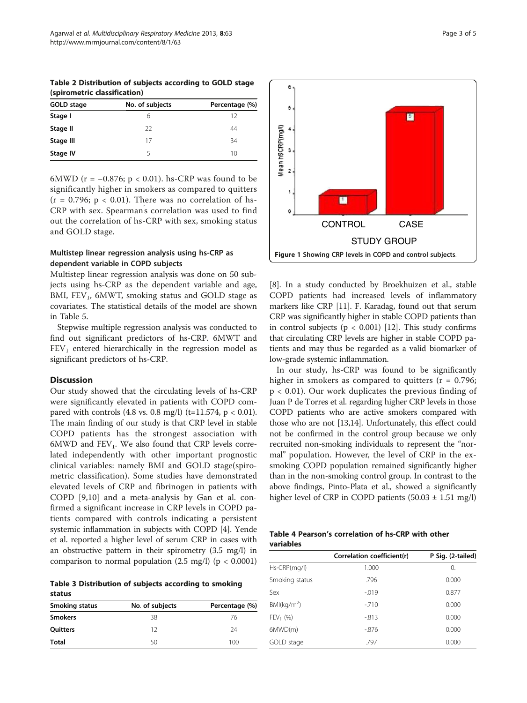<span id="page-2-0"></span>Table 2 Distribution of subjects according to GOLD stage (spirometric classification)

| GOLD stage | No. of subjects | Percentage (%) |  |
|------------|-----------------|----------------|--|
| Stage I    | h               | 12             |  |
| Stage II   | 22              | 44             |  |
| Stage III  | 17              | 34             |  |
| Stage IV   |                 | 10             |  |

6MWD ( $r = -0.876$ ;  $p < 0.01$ ). hs-CRP was found to be significantly higher in smokers as compared to quitters  $(r = 0.796; p < 0.01)$ . There was no correlation of hs-CRP with sex. Spearman' s correlation was used to find out the correlation of hs-CRP with sex, smoking status and GOLD stage.

## Multistep linear regression analysis using hs-CRP as dependent variable in COPD subjects

Multistep linear regression analysis was done on 50 subjects using hs-CRP as the dependent variable and age, BMI,  $FEV<sub>1</sub>$ , 6MWT, smoking status and GOLD stage as covariates. The statistical details of the model are shown in Table [5.](#page-3-0)

Stepwise multiple regression analysis was conducted to find out significant predictors of hs-CRP. 6MWT and  $FEV<sub>1</sub>$  entered hierarchically in the regression model as significant predictors of hs-CRP.

## **Discussion**

Our study showed that the circulating levels of hs-CRP were significantly elevated in patients with COPD compared with controls  $(4.8 \text{ vs. } 0.8 \text{ mg/l})$   $(t=11.574, p < 0.01)$ . The main finding of our study is that CRP level in stable COPD patients has the strongest association with  $6MWD$  and  $FEV<sub>1</sub>$ . We also found that CRP levels correlated independently with other important prognostic clinical variables: namely BMI and GOLD stage(spirometric classification). Some studies have demonstrated elevated levels of CRP and fibrinogen in patients with COPD [\[9,10](#page-4-0)] and a meta-analysis by Gan et al. confirmed a significant increase in CRP levels in COPD patients compared with controls indicating a persistent systemic inflammation in subjects with COPD [\[4\]](#page-4-0). Yende et al. reported a higher level of serum CRP in cases with an obstructive pattern in their spirometry (3.5 mg/l) in comparison to normal population  $(2.5 \text{ mg/l})$   $(p < 0.0001)$ 

Table 3 Distribution of subjects according to smoking status

| Smoking status  | No. of subjects | Percentage (%) |  |
|-----------------|-----------------|----------------|--|
| <b>Smokers</b>  | 38              | 76             |  |
| <b>Ouitters</b> | 12              | 24             |  |
| <b>Total</b>    | 50              | 100            |  |



[[8\]](#page-4-0). In a study conducted by Broekhuizen et al., stable COPD patients had increased levels of inflammatory markers like CRP [[11](#page-4-0)]. F. Karadag, found out that serum CRP was significantly higher in stable COPD patients than in control subjects ( $p < 0.001$ ) [[12](#page-4-0)]. This study confirms that circulating CRP levels are higher in stable COPD patients and may thus be regarded as a valid biomarker of low-grade systemic inflammation.

In our study, hs-CRP was found to be significantly higher in smokers as compared to quitters ( $r = 0.796$ ; p < 0.01). Our work duplicates the previous finding of Juan P de Torres et al. regarding higher CRP levels in those COPD patients who are active smokers compared with those who are not [\[13,14](#page-4-0)]. Unfortunately, this effect could not be confirmed in the control group because we only recruited non-smoking individuals to represent the "normal" population. However, the level of CRP in the exsmoking COPD population remained significantly higher than in the non-smoking control group. In contrast to the above findings, Pinto-Plata et al., showed a significantly higher level of CRP in COPD patients (50.03 ± 1.51 mg/l)

| Table 4 Pearson's correlation of hs-CRP with other |  |  |
|----------------------------------------------------|--|--|
| variables                                          |  |  |

|                         | Correlation coefficient(r) | P Sig. (2-tailed) |
|-------------------------|----------------------------|-------------------|
| Hs-CRP(mg/l)            | 1.000                      | 0.                |
| Smoking status          | .796                       | 0.000             |
| Sex                     | $-0.019$                   | 0.877             |
| BMl(kq/m <sup>2</sup> ) | $-710$                     | 0.000             |
| $FEV_1 (%)$             | $-0.813$                   | 0.000             |
| 6MWD(m)                 | -.876                      | 0.000             |
| GOLD stage              | .797                       | 0.000             |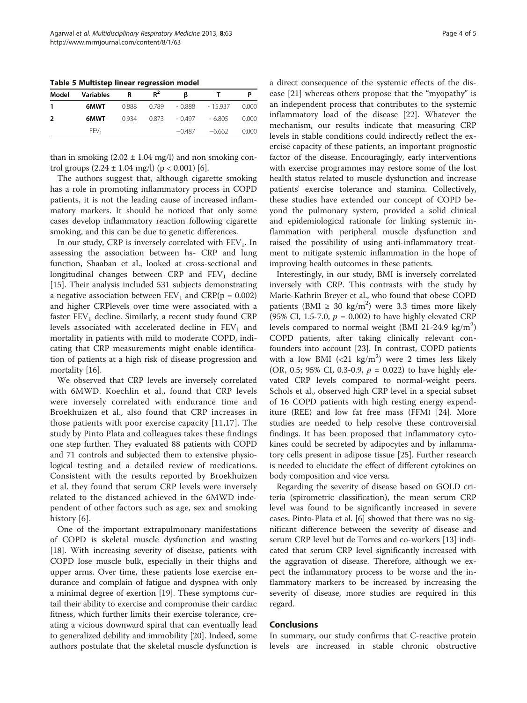<span id="page-3-0"></span>Table 5 Multistep linear regression model

| Model | <b>Variables</b> | R     | $R^2$ | в        |           |       |
|-------|------------------|-------|-------|----------|-----------|-------|
|       | 6MWT             | 0.888 | 0.789 | - 0.888  | $-15.937$ | 0.000 |
| 2     | 6MWT             | 0.934 | 0.873 | - 0.497  | - 6.805   | 0.000 |
|       | FEV <sub>1</sub> |       |       | $-0.487$ | $-6.662$  | 0.000 |

than in smoking  $(2.02 \pm 1.04 \text{ mg/l})$  and non smoking control groups  $(2.24 \pm 1.04 \text{ mg/l})$  (p < 0.001) [\[6](#page-4-0)].

The authors suggest that, although cigarette smoking has a role in promoting inflammatory process in COPD patients, it is not the leading cause of increased inflammatory markers. It should be noticed that only some cases develop inflammatory reaction following cigarette smoking, and this can be due to genetic differences.

In our study, CRP is inversely correlated with  $FEV<sub>1</sub>$ . In assessing the association between hs- CRP and lung function, Shaaban et al., looked at cross-sectional and longitudinal changes between  $CRP$  and  $FEV<sub>1</sub>$  decline [[15\]](#page-4-0). Their analysis included 531 subjects demonstrating a negative association between  $FEV_1$  and  $CRP(p = 0.002)$ and higher CRPlevels over time were associated with a faster  $FEV<sub>1</sub>$  decline. Similarly, a recent study found CRP levels associated with accelerated decline in  $FEV<sub>1</sub>$  and mortality in patients with mild to moderate COPD, indicating that CRP measurements might enable identification of patients at a high risk of disease progression and mortality [[16\]](#page-4-0).

We observed that CRP levels are inversely correlated with 6MWD. Koechlin et al., found that CRP levels were inversely correlated with endurance time and Broekhuizen et al., also found that CRP increases in those patients with poor exercise capacity [\[11,17](#page-4-0)]. The study by Pinto Plata and colleagues takes these findings one step further. They evaluated 88 patients with COPD and 71 controls and subjected them to extensive physiological testing and a detailed review of medications. Consistent with the results reported by Broekhuizen et al. they found that serum CRP levels were inversely related to the distanced achieved in the 6MWD independent of other factors such as age, sex and smoking history [[6](#page-4-0)].

One of the important extrapulmonary manifestations of COPD is skeletal muscle dysfunction and wasting [[18\]](#page-4-0). With increasing severity of disease, patients with COPD lose muscle bulk, especially in their thighs and upper arms. Over time, these patients lose exercise endurance and complain of fatigue and dyspnea with only a minimal degree of exertion [[19\]](#page-4-0). These symptoms curtail their ability to exercise and compromise their cardiac fitness, which further limits their exercise tolerance, creating a vicious downward spiral that can eventually lead to generalized debility and immobility [\[20\]](#page-4-0). Indeed, some authors postulate that the skeletal muscle dysfunction is a direct consequence of the systemic effects of the disease [\[21](#page-4-0)] whereas others propose that the "myopathy" is an independent process that contributes to the systemic

inflammatory load of the disease [[22\]](#page-4-0). Whatever the mechanism, our results indicate that measuring CRP levels in stable conditions could indirectly reflect the exercise capacity of these patients, an important prognostic factor of the disease. Encouragingly, early interventions with exercise programmes may restore some of the lost health status related to muscle dysfunction and increase patients' exercise tolerance and stamina. Collectively, these studies have extended our concept of COPD beyond the pulmonary system, provided a solid clinical and epidemiological rationale for linking systemic inflammation with peripheral muscle dysfunction and raised the possibility of using anti-inflammatory treatment to mitigate systemic inflammation in the hope of improving health outcomes in these patients.

Interestingly, in our study, BMI is inversely correlated inversely with CRP. This contrasts with the study by Marie-Kathrin Breyer et al., who found that obese COPD patients (BMI  $\geq 30 \text{ kg/m}^2$ ) were 3.3 times more likely (95% CI, 1.5-7.0,  $p = 0.002$ ) to have highly elevated CRP levels compared to normal weight (BMI 21-24.9 kg/m<sup>2</sup>) COPD patients, after taking clinically relevant confounders into account [\[23\]](#page-4-0). In contrast, COPD patients with a low BMI  $(<21 \text{ kg/m}^2$ ) were 2 times less likely(OR, 0.5; 95% CI, 0.3-0.9,  $p = 0.022$ ) to have highly elevated CRP levels compared to normal-weight peers. Schols et al., observed high CRP level in a special subset of 16 COPD patients with high resting energy expenditure (REE) and low fat free mass (FFM) [[24](#page-4-0)]. More studies are needed to help resolve these controversial findings. It has been proposed that inflammatory cytokines could be secreted by adipocytes and by inflammatory cells present in adipose tissue [\[25](#page-4-0)]. Further research is needed to elucidate the effect of different cytokines on body composition and vice versa.

Regarding the severity of disease based on GOLD criteria (spirometric classification), the mean serum CRP level was found to be significantly increased in severe cases. Pinto-Plata et al. [[6\]](#page-4-0) showed that there was no significant difference between the severity of disease and serum CRP level but de Torres and co-workers [\[13](#page-4-0)] indicated that serum CRP level significantly increased with the aggravation of disease. Therefore, although we expect the inflammatory process to be worse and the inflammatory markers to be increased by increasing the severity of disease, more studies are required in this regard.

#### Conclusions

In summary, our study confirms that C-reactive protein levels are increased in stable chronic obstructive